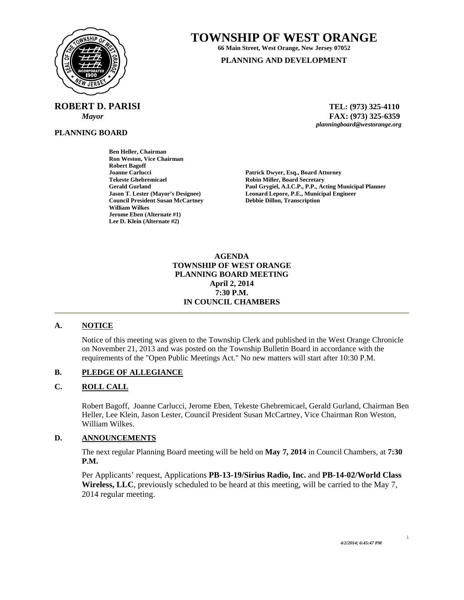

**TOWNSHIP OF WEST ORANGE** 

**66 Main Street, West Orange, New Jersey 07052 PLANNING AND DEVELOPMENT**

**ROBERT D. PARISI TEL: (973) 325-4110** 

**PLANNING BOARD**

 *Mayor* **FAX: (973) 325-6359** *planningboard@westorange.org* 

**Ben Heller, Chairman Ron Weston, Vice Chairman Robert Bagoff Joanne Carlucci Patrick Dwyer, Esq., Board Attorney Tekeste Ghebremicael and Secretary Cerald Gurland Control Cerald Gurland Cerald Gurland Cerald Gurland Cerald Allen Access Cerald Allen Access Cerald Allen Access Cerald Allen Access Cerald Allen Access Cerald Allen Acces Council President Susan McCartney William Wilkes Jerome Eben (Alternate #1) Lee D. Klein (Alternate #2)** 

Gerald Gurland **Paul Grygiel, A.I.C.P., P.P., Acting Municipal Planner**<br> **Paul Grygiel, A.I.C.P., P.P., Acting Municipal Planner**<br> **Leonard Lepore, P.E., Municipal Engineer Leonard Lepore, P.E., Municipal Engineer Debbie Dillon, Transcription** 

### **AGENDA TOWNSHIP OF WEST ORANGE PLANNING BOARD MEETING April 2, 2014 7:30 P.M. IN COUNCIL CHAMBERS**

# **A. NOTICE**

Notice of this meeting was given to the Township Clerk and published in the West Orange Chronicle on November 21, 2013 and was posted on the Township Bulletin Board in accordance with the requirements of the "Open Public Meetings Act." No new matters will start after 10:30 P.M.

# **B. PLEDGE OF ALLEGIANCE**

# **C. ROLL CALL**

Robert Bagoff, Joanne Carlucci, Jerome Eben, Tekeste Ghebremicael, Gerald Gurland, Chairman Ben Heller, Lee Klein, Jason Lester, Council President Susan McCartney, Vice Chairman Ron Weston, William Wilkes.

#### **D. ANNOUNCEMENTS**

The next regular Planning Board meeting will be held on **May 7, 2014** in Council Chambers, at **7:30 P.M.** 

Per Applicants' request, Applications **PB-13-19/Sirius Radio, Inc.** and **PB-14-02/World Class Wireless, LLC**, previously scheduled to be heard at this meeting, will be carried to the May 7, 2014 regular meeting.